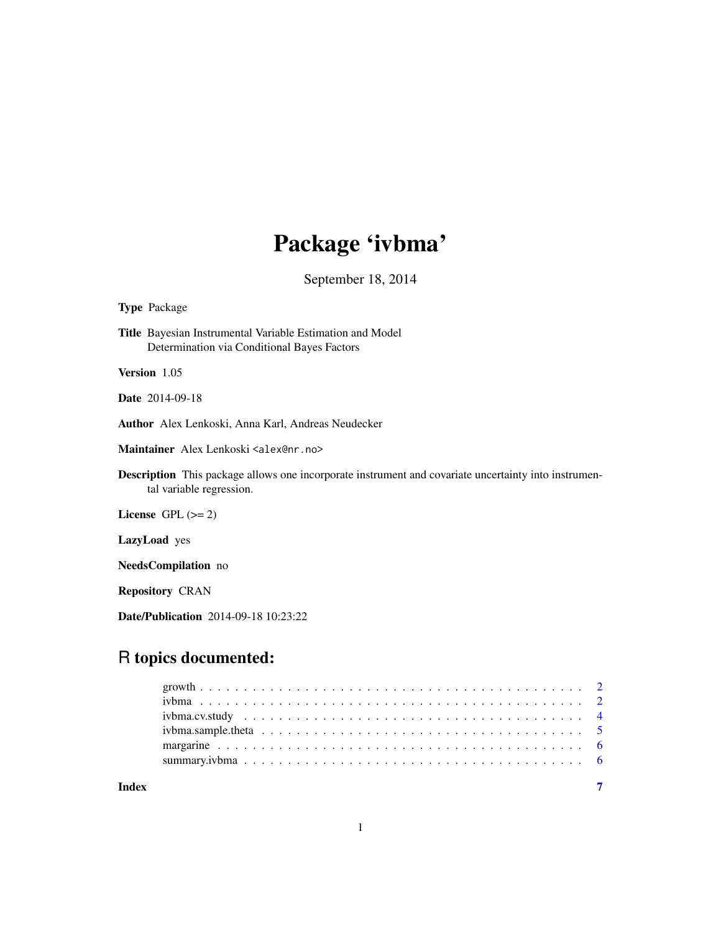## Package 'ivbma'

September 18, 2014

#### Type Package

Title Bayesian Instrumental Variable Estimation and Model Determination via Conditional Bayes Factors

Version 1.05

Date 2014-09-18

Author Alex Lenkoski, Anna Karl, Andreas Neudecker

Maintainer Alex Lenkoski <alex@nr.no>

Description This package allows one incorporate instrument and covariate uncertainty into instrumental variable regression.

License GPL  $(>= 2)$ 

LazyLoad yes

NeedsCompilation no

Repository CRAN

Date/Publication 2014-09-18 10:23:22

### R topics documented:

| Index |  |
|-------|--|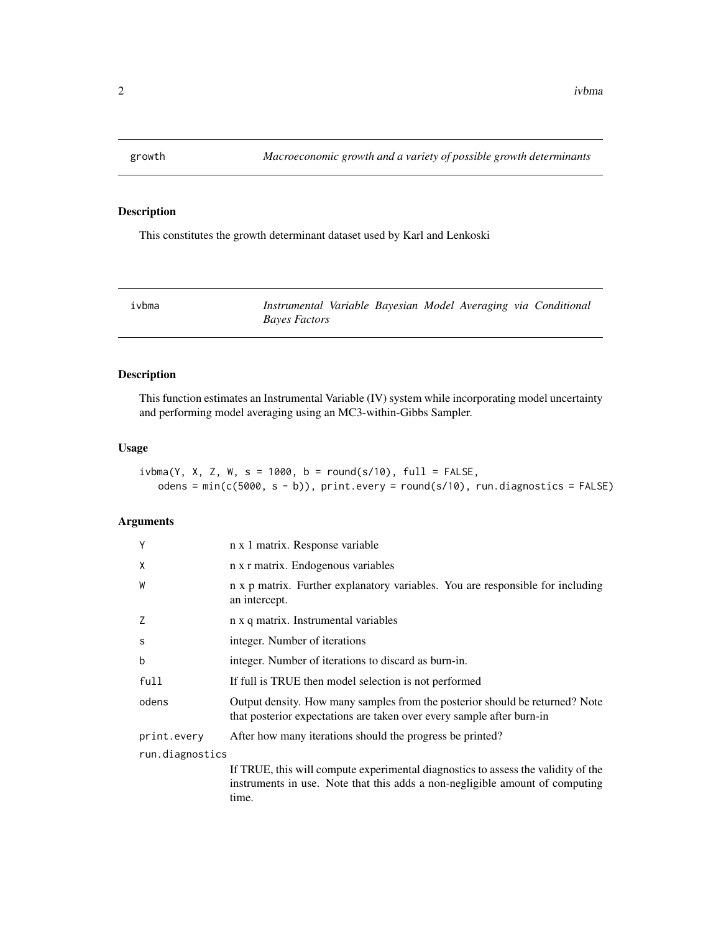<span id="page-1-0"></span>

#### Description

This constitutes the growth determinant dataset used by Karl and Lenkoski

<span id="page-1-1"></span>

a *Instrumental Variable Bayesian Model Averaging via Conditional Bayes Factors*

#### Description

This function estimates an Instrumental Variable (IV) system while incorporating model uncertainty and performing model averaging using an MC3-within-Gibbs Sampler.

#### Usage

 $ivb$ ma(Y, X, Z, W, s = 1000, b = round(s/10), full = FALSE, odens =  $min(c(5000, s - b))$ , print.every = round(s/10), run.diagnostics = FALSE)

#### Arguments

| Υ               | n x 1 matrix. Response variable                                                                                                                                            |
|-----------------|----------------------------------------------------------------------------------------------------------------------------------------------------------------------------|
| χ               | n x r matrix. Endogenous variables                                                                                                                                         |
| W               | n x p matrix. Further explanatory variables. You are responsible for including<br>an intercept.                                                                            |
| Z               | n x q matrix. Instrumental variables                                                                                                                                       |
| S               | integer. Number of iterations                                                                                                                                              |
| b               | integer. Number of iterations to discard as burn-in.                                                                                                                       |
| full            | If full is TRUE then model selection is not performed                                                                                                                      |
| odens           | Output density. How many samples from the posterior should be returned? Note<br>that posterior expectations are taken over every sample after burn-in                      |
| print.every     | After how many iterations should the progress be printed?                                                                                                                  |
| run.diagnostics |                                                                                                                                                                            |
|                 | If TRUE, this will compute experimental diagnostics to assess the validity of the<br>instruments in use. Note that this adds a non-negligible amount of computing<br>time. |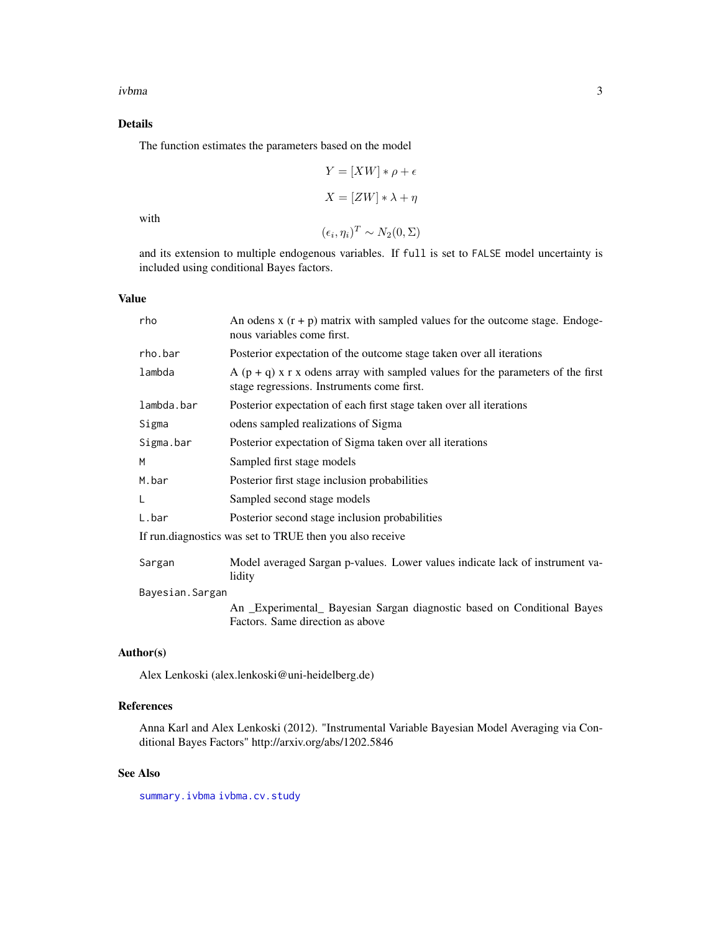#### <span id="page-2-0"></span>Details

The function estimates the parameters based on the model

$$
Y = [XW] * \rho + \epsilon
$$

$$
X = [ZW] * \lambda + \eta
$$

with

 $(\epsilon_i, \eta_i)^T \sim N_2(0, \Sigma)$ 

and its extension to multiple endogenous variables. If full is set to FALSE model uncertainty is included using conditional Bayes factors.

#### Value

| rho             | An odens $x(r + p)$ matrix with sampled values for the outcome stage. Endoge-<br>nous variables come first. |
|-----------------|-------------------------------------------------------------------------------------------------------------|
| rho.bar         | Posterior expectation of the outcome stage taken over all iterations                                        |
| lambda          | A $(p + q)$ x r x odens array with sampled values for the parameters of the first                           |
|                 | stage regressions. Instruments come first.                                                                  |
| lambda.bar      | Posterior expectation of each first stage taken over all iterations                                         |
| Sigma           | odens sampled realizations of Sigma                                                                         |
| Sigma.bar       | Posterior expectation of Sigma taken over all iterations                                                    |
| M               | Sampled first stage models                                                                                  |
| M.bar           | Posterior first stage inclusion probabilities                                                               |
| L               | Sampled second stage models                                                                                 |
| L.bar           | Posterior second stage inclusion probabilities                                                              |
|                 | If run.diagnostics was set to TRUE then you also receive                                                    |
| Sargan          | Model averaged Sargan p-values. Lower values indicate lack of instrument va-<br>lidity                      |
| Bayesian.Sargan |                                                                                                             |
|                 | An _Experimental_ Bayesian Sargan diagnostic based on Conditional Bayes                                     |
|                 | Factors. Same direction as above                                                                            |

#### Author(s)

Alex Lenkoski (alex.lenkoski@uni-heidelberg.de)

#### References

Anna Karl and Alex Lenkoski (2012). "Instrumental Variable Bayesian Model Averaging via Conditional Bayes Factors" http://arxiv.org/abs/1202.5846

#### See Also

[summary.ivbma](#page-5-1) [ivbma.cv.study](#page-3-1)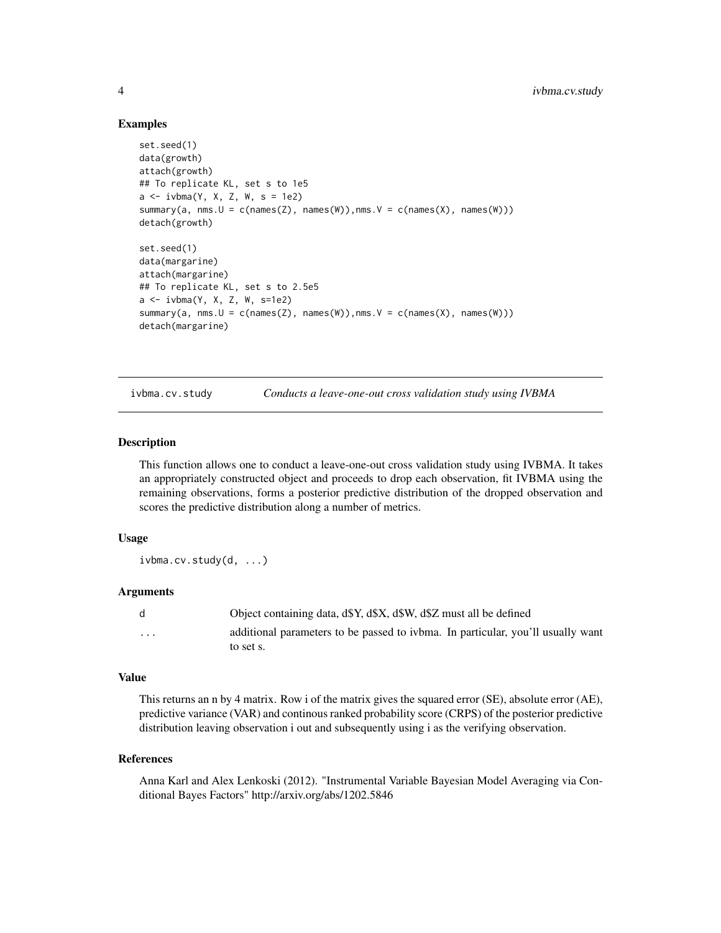#### Examples

```
set.seed(1)
data(growth)
attach(growth)
## To replicate KL, set s to 1e5
a \leftarrow i v b \text{ma}(Y, X, Z, W, s = 1e2)summary(a, nms.U = c(names(Z), names(W)), nms.V = c(names(X), names(W)))detach(growth)
set.seed(1)
data(margarine)
attach(margarine)
## To replicate KL, set s to 2.5e5
a <- ivbma(Y, X, Z, W, s=1e2)
summary(a, nms.U = c(names(Z), names(W)), nms.V = c(names(X), names(W)))detach(margarine)
```
<span id="page-3-1"></span>ivbma.cv.study *Conducts a leave-one-out cross validation study using IVBMA*

#### **Description**

This function allows one to conduct a leave-one-out cross validation study using IVBMA. It takes an appropriately constructed object and proceeds to drop each observation, fit IVBMA using the remaining observations, forms a posterior predictive distribution of the dropped observation and scores the predictive distribution along a number of metrics.

#### Usage

ivbma.cv.study(d, ...)

#### Arguments

|          | Object containing data, d\$Y, d\$X, d\$W, d\$Z must all be defined              |
|----------|---------------------------------------------------------------------------------|
| $\cdots$ | additional parameters to be passed to ivbma. In particular, you'll usually want |
|          | to set s.                                                                       |

#### Value

This returns an n by 4 matrix. Row i of the matrix gives the squared error (SE), absolute error (AE), predictive variance (VAR) and continous ranked probability score (CRPS) of the posterior predictive distribution leaving observation i out and subsequently using i as the verifying observation.

#### References

Anna Karl and Alex Lenkoski (2012). "Instrumental Variable Bayesian Model Averaging via Conditional Bayes Factors" http://arxiv.org/abs/1202.5846

<span id="page-3-0"></span>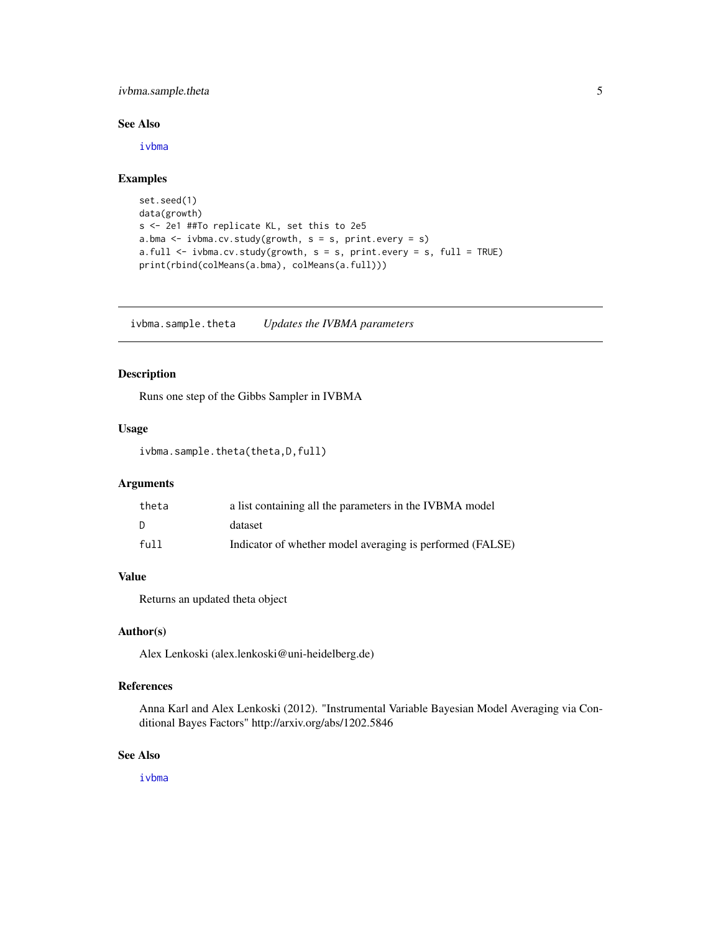#### <span id="page-4-0"></span>ivbma.sample.theta 5

#### See Also

[ivbma](#page-1-1)

#### Examples

```
set.seed(1)
data(growth)
s <- 2e1 ##To replicate KL, set this to 2e5
a.bma <- ivbma.cv.study(growth, s = s, print.every = s)
a.full \leftarrow ivbma.cv.study(growth, s = s, print.every = s, full = TRUE)
print(rbind(colMeans(a.bma), colMeans(a.full)))
```
ivbma.sample.theta *Updates the IVBMA parameters*

#### Description

Runs one step of the Gibbs Sampler in IVBMA

#### Usage

ivbma.sample.theta(theta,D,full)

#### Arguments

| theta | a list containing all the parameters in the IVBMA model   |
|-------|-----------------------------------------------------------|
| D.    | dataset                                                   |
| fu11  | Indicator of whether model averaging is performed (FALSE) |

#### Value

Returns an updated theta object

#### Author(s)

Alex Lenkoski (alex.lenkoski@uni-heidelberg.de)

#### References

Anna Karl and Alex Lenkoski (2012). "Instrumental Variable Bayesian Model Averaging via Conditional Bayes Factors" http://arxiv.org/abs/1202.5846

#### See Also

[ivbma](#page-1-1)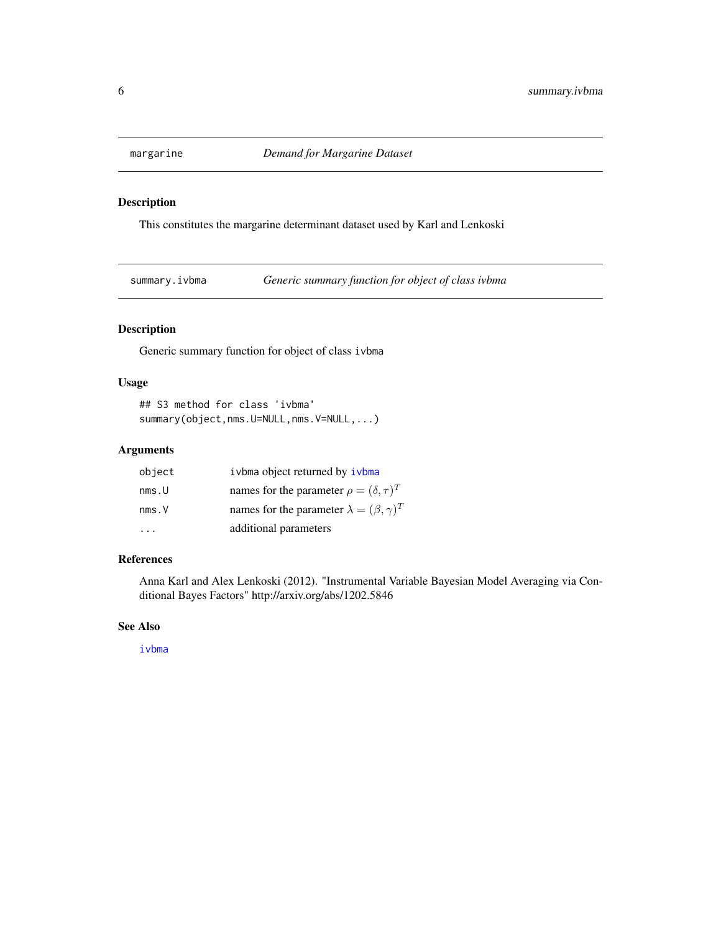<span id="page-5-0"></span>

#### Description

This constitutes the margarine determinant dataset used by Karl and Lenkoski

<span id="page-5-1"></span>summary.ivbma *Generic summary function for object of class ivbma*

#### Description

Generic summary function for object of class ivbma

#### Usage

```
## S3 method for class 'ivbma'
summary(object,nms.U=NULL,nms.V=NULL,...)
```
#### Arguments

| object | ivbma object returned by ivbma                        |
|--------|-------------------------------------------------------|
| nms.U  | names for the parameter $\rho = (\delta, \tau)^T$     |
| nms.V  | names for the parameter $\lambda = (\beta, \gamma)^T$ |
|        | additional parameters                                 |

#### References

Anna Karl and Alex Lenkoski (2012). "Instrumental Variable Bayesian Model Averaging via Conditional Bayes Factors" http://arxiv.org/abs/1202.5846

#### See Also

[ivbma](#page-1-1)